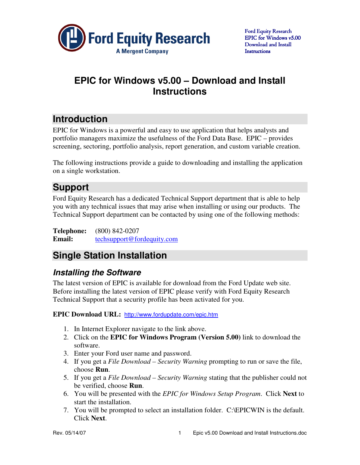

## **EPIC for Windows v5.00 – Download and Install Instructions**

# **Introduction**

EPIC for Windows is a powerful and easy to use application that helps analysts and portfolio managers maximize the usefulness of the Ford Data Base. EPIC – provides screening, sectoring, portfolio analysis, report generation, and custom variable creation.

The following instructions provide a guide to downloading and installing the application on a single workstation.

## **Support**

Ford Equity Research has a dedicated Technical Support department that is able to help you with any technical issues that may arise when installing or using our products. The Technical Support department can be contacted by using one of the following methods:

**Telephone:** (800) 842-0207 **Email:** techsupport@fordequity.com

## **Single Station Installation**

### **Installing the Software**

The latest version of EPIC is available for download from the Ford Update web site. Before installing the latest version of EPIC please verify with Ford Equity Research Technical Support that a security profile has been activated for you.

**EPIC Download URL:** http://www.fordupdate.com/epic.htm

- 1. In Internet Explorer navigate to the link above.
- 2. Click on the **EPIC for Windows Program (Version 5.00)** link to download the software.
- 3. Enter your Ford user name and password.
- 4. If you get a *File Download Security Warning* prompting to run or save the file, choose **Run**.
- 5. If you get a *File Download Security Warning* stating that the publisher could not be verified, choose **Run**.
- 6. You will be presented with the *EPIC for Windows Setup Program*. Click **Next** to start the installation.
- 7. You will be prompted to select an installation folder. C:\EPICWIN is the default. Click **Next**.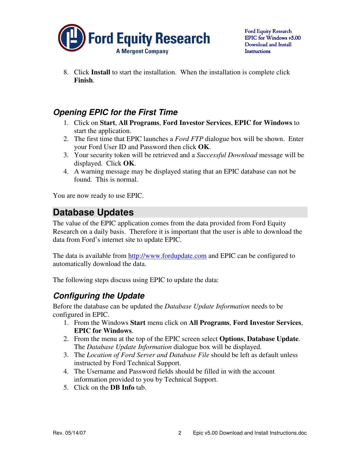

8. Click **Install** to start the installation. When the installation is complete click **Finish**.

### **Opening EPIC for the First Time**

- 1. Click on **Start**, **All Programs**, **Ford Investor Services**, **EPIC for Windows** to start the application.
- 2. The first time that EPIC launches a *Ford FTP* dialogue box will be shown. Enter your Ford User ID and Password then click **OK**.
- 3. Your security token will be retrieved and a *Successful Download* message will be displayed. Click **OK**.
- 4. A warning message may be displayed stating that an EPIC database can not be found. This is normal.

You are now ready to use EPIC.

## **Database Updates**

The value of the EPIC application comes from the data provided from Ford Equity Research on a daily basis. Therefore it is important that the user is able to download the data from Ford's internet site to update EPIC.

The data is available from http://www.fordupdate.com and EPIC can be configured to automatically download the data.

The following steps discuss using EPIC to update the data:

### **Configuring the Update**

Before the database can be updated the *Database Update Information* needs to be configured in EPIC.

- 1. From the Windows **Start** menu click on **All Programs**, **Ford Investor Services**, **EPIC for Windows**.
- 2. From the menu at the top of the EPIC screen select **Options**, **Database Update**. The *Database Update Information* dialogue box will be displayed.
- 3. The *Location of Ford Server and Database File* should be left as default unless instructed by Ford Technical Support.
- 4. The Username and Password fields should be filled in with the account information provided to you by Technical Support.
- 5. Click on the **DB Info** tab.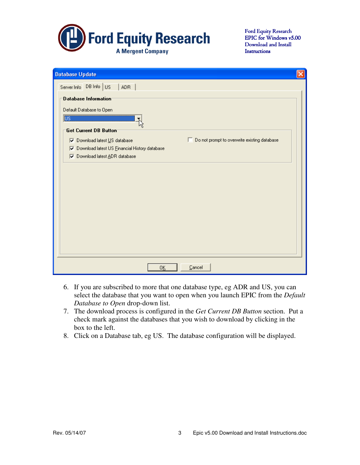

Ford Equity Research EPIC for Windows v5.00 Download and Install **Instructions** 

| <b>Database Update</b>                                                                 |  |  |  |  |  |
|----------------------------------------------------------------------------------------|--|--|--|--|--|
| Server Info DB Info US<br><b>ADR</b>                                                   |  |  |  |  |  |
| Database Information                                                                   |  |  |  |  |  |
| Default Database to Open                                                               |  |  |  |  |  |
| $\overline{\mathbb{U}^{\mathbb{S}}}$                                                   |  |  |  |  |  |
| Get Current DB Button                                                                  |  |  |  |  |  |
| □ Do not prompt to overwrite existing database<br><b>V</b> Download latest US database |  |  |  |  |  |
| Download latest US Financial History database<br>⊽                                     |  |  |  |  |  |
| Download latest ADR database<br>⊽                                                      |  |  |  |  |  |
|                                                                                        |  |  |  |  |  |
|                                                                                        |  |  |  |  |  |
|                                                                                        |  |  |  |  |  |
|                                                                                        |  |  |  |  |  |
|                                                                                        |  |  |  |  |  |
|                                                                                        |  |  |  |  |  |
|                                                                                        |  |  |  |  |  |
|                                                                                        |  |  |  |  |  |
|                                                                                        |  |  |  |  |  |
|                                                                                        |  |  |  |  |  |
|                                                                                        |  |  |  |  |  |
| Cancel<br>0 <u>K</u>                                                                   |  |  |  |  |  |

- 6. If you are subscribed to more that one database type, eg ADR and US, you can select the database that you want to open when you launch EPIC from the *Default Database to Open* drop-down list.
- 7. The download process is configured in the *Get Current DB Button* section. Put a check mark against the databases that you wish to download by clicking in the box to the left.
- 8. Click on a Database tab, eg US. The database configuration will be displayed.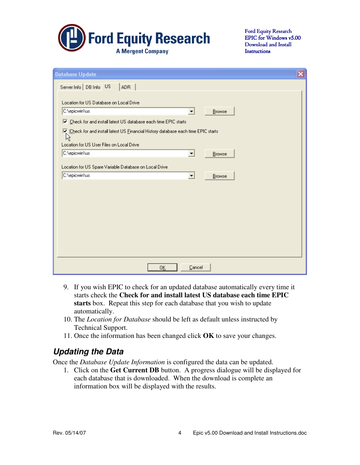

Ford Equity Research EPIC for Windows v5.00 Download and Install **Instructions** 

| <b>Database Update</b>                                                                                           | $\overline{\mathsf{x}}$ |  |  |  |  |
|------------------------------------------------------------------------------------------------------------------|-------------------------|--|--|--|--|
| Server Info   DB Info US<br><b>ADR</b>                                                                           |                         |  |  |  |  |
|                                                                                                                  |                         |  |  |  |  |
| Location for US Database on Local Drive                                                                          |                         |  |  |  |  |
| C:\epicwin\us<br>Browse                                                                                          |                         |  |  |  |  |
| Ⅳ Check for and install latest US database each time EPIC starts                                                 |                         |  |  |  |  |
| $\overline{\mathbf{V}}_k$ [Check for and install latest US Einancial History database each time EPIC starts<br>仪 |                         |  |  |  |  |
| Location for US User Files on Local Drive                                                                        |                         |  |  |  |  |
| C:\epicwin\us<br>$\blacktriangledown$<br>Browse                                                                  |                         |  |  |  |  |
| Location for US Spare Variable Database on Local Drive                                                           |                         |  |  |  |  |
| C:\epicwin\us<br>$\blacktriangledown$<br>Browse                                                                  |                         |  |  |  |  |
|                                                                                                                  |                         |  |  |  |  |
|                                                                                                                  |                         |  |  |  |  |
|                                                                                                                  |                         |  |  |  |  |
|                                                                                                                  |                         |  |  |  |  |
|                                                                                                                  |                         |  |  |  |  |
|                                                                                                                  |                         |  |  |  |  |
|                                                                                                                  |                         |  |  |  |  |
|                                                                                                                  |                         |  |  |  |  |
| Cancel<br>0K                                                                                                     |                         |  |  |  |  |

- 9. If you wish EPIC to check for an updated database automatically every time it starts check the **Check for and install latest US database each time EPIC starts** box. Repeat this step for each database that you wish to update automatically.
- 10. The *Location for Database* should be left as default unless instructed by Technical Support.
- 11. Once the information has been changed click **OK** to save your changes.

### **Updating the Data**

Once the *Database Update Information* is configured the data can be updated.

1. Click on the **Get Current DB** button. A progress dialogue will be displayed for each database that is downloaded. When the download is complete an information box will be displayed with the results.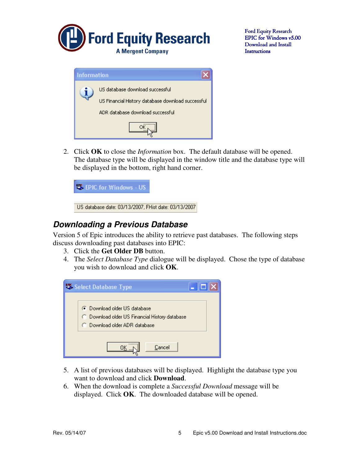

Ford Equity Research EPIC for Windows v5.00 Download and Install **Instructions** 

| <b>Information</b> |                                                   |
|--------------------|---------------------------------------------------|
|                    | US database download successful                   |
|                    | US Financial History database download successful |
|                    | ADR database download successful                  |
|                    |                                                   |

2. Click **OK** to close the *Information* box. The default database will be opened. The database type will be displayed in the window title and the database type will be displayed in the bottom, right hand corner.



#### **Downloading a Previous Database**

Version 5 of Epic introduces the ability to retrieve past databases. The following steps discuss downloading past databases into EPIC:

- 3. Click the **Get Older DB** button.
- 4. The *Select Database Type* dialogue will be displayed. Chose the type of database you wish to download and click **OK**.



- 5. A list of previous databases will be displayed. Highlight the database type you want to download and click **Download**.
- 6. When the download is complete a *Successful Download* message will be displayed. Click **OK**. The downloaded database will be opened.